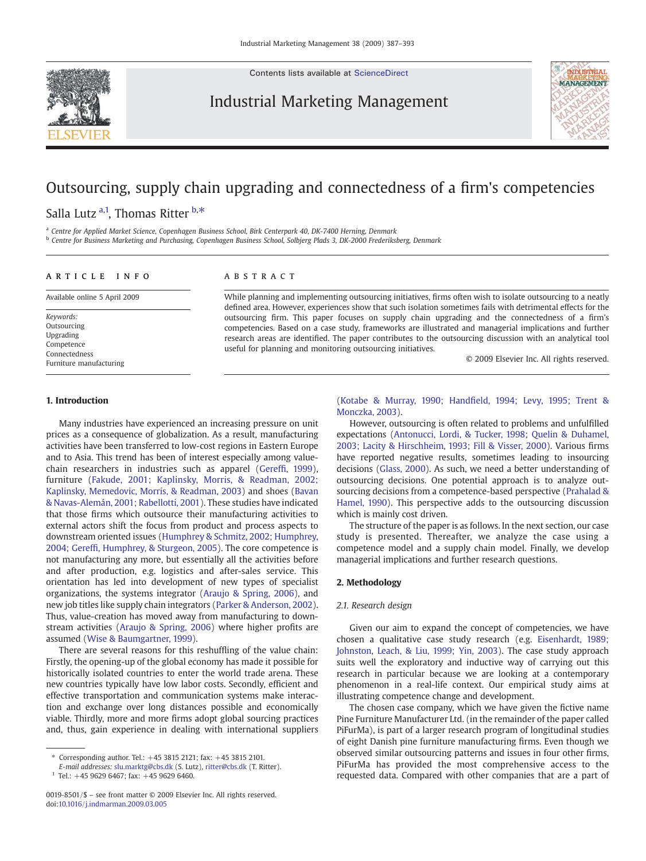Contents lists available at [ScienceDirect](http://www.sciencedirect.com/science/journal/00198501)

Industrial Marketing Management



## Outsourcing, supply chain upgrading and connectedness of a firm's competencies

Salla Lutz <sup>a,1</sup>, Thomas Ritter <sup>b,\*</sup>

a Centre for Applied Market Science, Copenhagen Business School, Birk Centerpark 40, DK-7400 Herning, Denmark

<sup>b</sup> Centre for Business Marketing and Purchasing, Copenhagen Business School, Solbjerg Plads 3, DK-2000 Frederiksberg, Denmark

### article info abstract

Available online 5 April 2009

Keywords: Outsourcing Upgrading Competence Connectedness Furniture manufacturing

While planning and implementing outsourcing initiatives, firms often wish to isolate outsourcing to a neatly defined area. However, experiences show that such isolation sometimes fails with detrimental effects for the outsourcing firm. This paper focuses on supply chain upgrading and the connectedness of a firm's competencies. Based on a case study, frameworks are illustrated and managerial implications and further research areas are identified. The paper contributes to the outsourcing discussion with an analytical tool useful for planning and monitoring outsourcing initiatives.

© 2009 Elsevier Inc. All rights reserved.

#### 1. Introduction

Many industries have experienced an increasing pressure on unit prices as a consequence of globalization. As a result, manufacturing activities have been transferred to low-cost regions in Eastern Europe and to Asia. This trend has been of interest especially among valuechain researchers in industries such as apparel (Gereffi[, 1999](#page--1-0)), furniture ([Fakude, 2001; Kaplinsky, Morris, & Readman, 2002;](#page--1-0) [Kaplinsky, Memedovic, Morris, & Readman, 2003\)](#page--1-0) and shoes ([Bavan](#page--1-0) [& Navas-Alemán, 2001; Rabellotti, 2001](#page--1-0)). These studies have indicated that those firms which outsource their manufacturing activities to external actors shift the focus from product and process aspects to downstream oriented issues [\(Humphrey & Schmitz, 2002; Humphrey,](#page--1-0) 2004; Gereffi[, Humphrey, & Sturgeon, 2005](#page--1-0)). The core competence is not manufacturing any more, but essentially all the activities before and after production, e.g. logistics and after-sales service. This orientation has led into development of new types of specialist organizations, the systems integrator ([Araujo & Spring, 2006](#page--1-0)), and new job titles like supply chain integrators [\(Parker & Anderson, 2002](#page--1-0)). Thus, value-creation has moved away from manufacturing to downstream activities [\(Araujo & Spring, 2006](#page--1-0)) where higher profits are assumed [\(Wise & Baumgartner, 1999](#page--1-0)).

There are several reasons for this reshuffling of the value chain: Firstly, the opening-up of the global economy has made it possible for historically isolated countries to enter the world trade arena. These new countries typically have low labor costs. Secondly, efficient and effective transportation and communication systems make interaction and exchange over long distances possible and economically viable. Thirdly, more and more firms adopt global sourcing practices and, thus, gain experience in dealing with international suppliers

E-mail addresses: [slu.marktg@cbs.dk](mailto:slu.marktg@cbs.dk) (S. Lutz), [ritter@cbs.dk](mailto:ritter@cbs.dk) (T. Ritter).

 $1$  Tel.: +45 9629 6467; fax: +45 9629 6460.

(Kotabe & Murray, 1990; Handfi[eld, 1994; Levy, 1995; Trent &](#page--1-0) [Monczka, 2003\)](#page--1-0).

However, outsourcing is often related to problems and unfulfilled expectations [\(Antonucci, Lordi, & Tucker, 1998; Quelin & Duhamel,](#page--1-0) [2003; Lacity & Hirschheim, 1993; Fill & Visser, 2000](#page--1-0)). Various firms have reported negative results, sometimes leading to insourcing decisions [\(Glass, 2000](#page--1-0)). As such, we need a better understanding of outsourcing decisions. One potential approach is to analyze outsourcing decisions from a competence-based perspective [\(Prahalad &](#page--1-0) [Hamel, 1990\)](#page--1-0). This perspective adds to the outsourcing discussion which is mainly cost driven.

The structure of the paper is as follows. In the next section, our case study is presented. Thereafter, we analyze the case using a competence model and a supply chain model. Finally, we develop managerial implications and further research questions.

#### 2. Methodology

#### 2.1. Research design

Given our aim to expand the concept of competencies, we have chosen a qualitative case study research (e.g. [Eisenhardt, 1989;](#page--1-0) [Johnston, Leach, & Liu, 1999; Yin, 2003](#page--1-0)). The case study approach suits well the exploratory and inductive way of carrying out this research in particular because we are looking at a contemporary phenomenon in a real-life context. Our empirical study aims at illustrating competence change and development.

The chosen case company, which we have given the fictive name Pine Furniture Manufacturer Ltd. (in the remainder of the paper called PiFurMa), is part of a larger research program of longitudinal studies of eight Danish pine furniture manufacturing firms. Even though we observed similar outsourcing patterns and issues in four other firms, PiFurMa has provided the most comprehensive access to the requested data. Compared with other companies that are a part of

<sup>⁎</sup> Corresponding author. Tel.: +45 3815 2121; fax: +45 3815 2101.

<sup>0019-8501/\$</sup> – see front matter © 2009 Elsevier Inc. All rights reserved. doi:[10.1016/j.indmarman.2009.03.005](http://dx.doi.org/10.1016/j.indmarman.2009.03.005)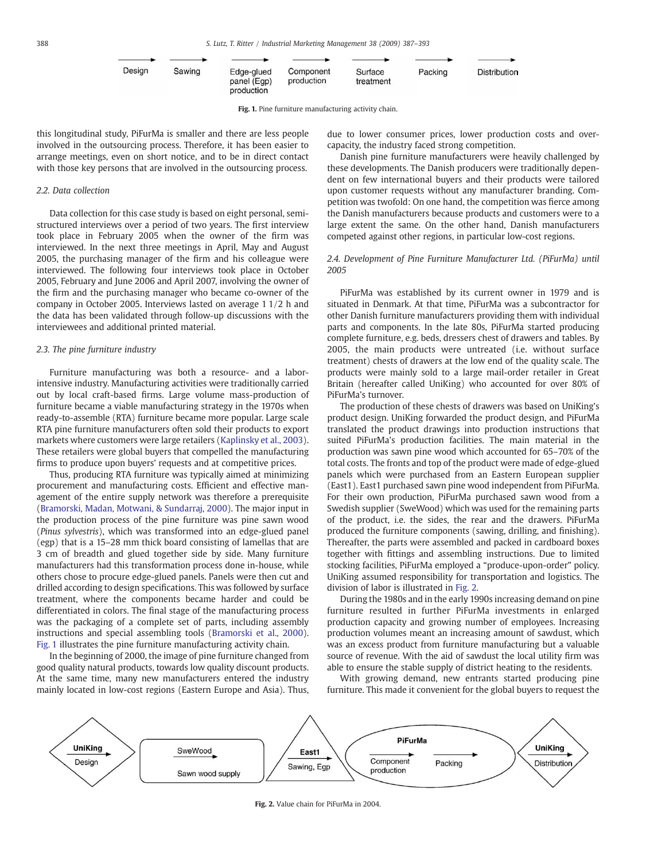| Design | Sawing | Edge-glued<br>panel (Egp)<br>production | Component<br>production | Surface<br>treatment | Packing | Distribution |
|--------|--------|-----------------------------------------|-------------------------|----------------------|---------|--------------|

Fig. 1. Pine furniture manufacturing activity chain.

this longitudinal study, PiFurMa is smaller and there are less people involved in the outsourcing process. Therefore, it has been easier to arrange meetings, even on short notice, and to be in direct contact with those key persons that are involved in the outsourcing process.

#### 2.2. Data collection

Data collection for this case study is based on eight personal, semistructured interviews over a period of two years. The first interview took place in February 2005 when the owner of the firm was interviewed. In the next three meetings in April, May and August 2005, the purchasing manager of the firm and his colleague were interviewed. The following four interviews took place in October 2005, February and June 2006 and April 2007, involving the owner of the firm and the purchasing manager who became co-owner of the company in October 2005. Interviews lasted on average 1 1/2 h and the data has been validated through follow-up discussions with the interviewees and additional printed material.

#### 2.3. The pine furniture industry

Furniture manufacturing was both a resource- and a laborintensive industry. Manufacturing activities were traditionally carried out by local craft-based firms. Large volume mass-production of furniture became a viable manufacturing strategy in the 1970s when ready-to-assemble (RTA) furniture became more popular. Large scale RTA pine furniture manufacturers often sold their products to export markets where customers were large retailers [\(Kaplinsky et al., 2003](#page--1-0)). These retailers were global buyers that compelled the manufacturing firms to produce upon buyers' requests and at competitive prices.

Thus, producing RTA furniture was typically aimed at minimizing procurement and manufacturing costs. Efficient and effective management of the entire supply network was therefore a prerequisite [\(Bramorski, Madan, Motwani, & Sundarraj, 2000\)](#page--1-0). The major input in the production process of the pine furniture was pine sawn wood (Pinus sylvestris), which was transformed into an edge-glued panel (egp) that is a 15–28 mm thick board consisting of lamellas that are 3 cm of breadth and glued together side by side. Many furniture manufacturers had this transformation process done in-house, while others chose to procure edge-glued panels. Panels were then cut and drilled according to design specifications. This was followed by surface treatment, where the components became harder and could be differentiated in colors. The final stage of the manufacturing process was the packaging of a complete set of parts, including assembly instructions and special assembling tools ([Bramorski et al., 2000](#page--1-0)). Fig. 1 illustrates the pine furniture manufacturing activity chain.

In the beginning of 2000, the image of pine furniture changed from good quality natural products, towards low quality discount products. At the same time, many new manufacturers entered the industry mainly located in low-cost regions (Eastern Europe and Asia). Thus, due to lower consumer prices, lower production costs and overcapacity, the industry faced strong competition.

Danish pine furniture manufacturers were heavily challenged by these developments. The Danish producers were traditionally dependent on few international buyers and their products were tailored upon customer requests without any manufacturer branding. Competition was twofold: On one hand, the competition was fierce among the Danish manufacturers because products and customers were to a large extent the same. On the other hand, Danish manufacturers competed against other regions, in particular low-cost regions.

## 2.4. Development of Pine Furniture Manufacturer Ltd. (PiFurMa) until 2005

PiFurMa was established by its current owner in 1979 and is situated in Denmark. At that time, PiFurMa was a subcontractor for other Danish furniture manufacturers providing them with individual parts and components. In the late 80s, PiFurMa started producing complete furniture, e.g. beds, dressers chest of drawers and tables. By 2005, the main products were untreated (i.e. without surface treatment) chests of drawers at the low end of the quality scale. The products were mainly sold to a large mail-order retailer in Great Britain (hereafter called UniKing) who accounted for over 80% of PiFurMa's turnover.

The production of these chests of drawers was based on UniKing's product design. UniKing forwarded the product design, and PiFurMa translated the product drawings into production instructions that suited PiFurMa's production facilities. The main material in the production was sawn pine wood which accounted for 65–70% of the total costs. The fronts and top of the product were made of edge-glued panels which were purchased from an Eastern European supplier (East1). East1 purchased sawn pine wood independent from PiFurMa. For their own production, PiFurMa purchased sawn wood from a Swedish supplier (SweWood) which was used for the remaining parts of the product, i.e. the sides, the rear and the drawers. PiFurMa produced the furniture components (sawing, drilling, and finishing). Thereafter, the parts were assembled and packed in cardboard boxes together with fittings and assembling instructions. Due to limited stocking facilities, PiFurMa employed a "produce-upon-order" policy. UniKing assumed responsibility for transportation and logistics. The division of labor is illustrated in Fig. 2.

During the 1980s and in the early 1990s increasing demand on pine furniture resulted in further PiFurMa investments in enlarged production capacity and growing number of employees. Increasing production volumes meant an increasing amount of sawdust, which was an excess product from furniture manufacturing but a valuable source of revenue. With the aid of sawdust the local utility firm was able to ensure the stable supply of district heating to the residents.

With growing demand, new entrants started producing pine furniture. This made it convenient for the global buyers to request the



Fig. 2. Value chain for PiFurMa in 2004.